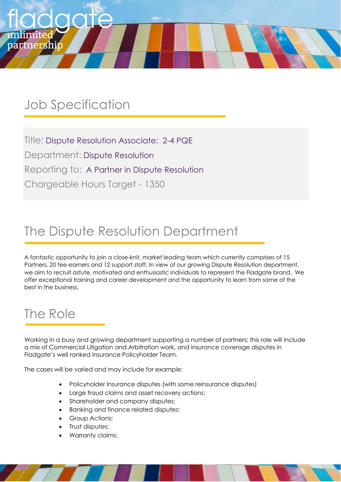## Job Specification

partnership

Title: Dispute Resolution Associate: 2-4 PQE Department: Dispute Resolution Reporting to: A Partner in Dispute Resolution Chargeable Hours Target - 1350

## The Dispute Resolution Department

A fantastic opportunity to join a close-knit, market leading team which currently comprises of 15 Partners, 20 fee-earners and 12 support staff. In view of our growing Dispute Resolution department, we aim to recruit astute, motivated and enthusiastic individuals to represent the Fladgate brand. We offer exceptional training and career development and the opportunity to learn from some of the best in the business.

### The Role

Working in a busy and growing department supporting a number of partners; this role will include a mix of Commercial Litigation and Arbitration work, and insurance coverage disputes in Fladgate's well ranked Insurance Policyholder Team.

The cases will be varied and may include for example:

- Policyholder Insurance disputes (with some reinsurance disputes)
- Large fraud claims and asset recovery actions;
- Shareholder and company disputes;
- Banking and finance related disputes;
- Group Actions;
- Trust disputes;
- Warranty claims;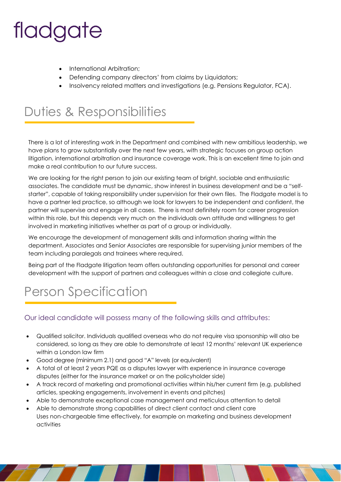- International Arbitration;
- Defending company directors' from claims by Liquidators;
- Insolvency related matters and investigations (e.g. Pensions Regulator, FCA).

## Duties & Responsibilities

There is a lot of interesting work in the Department and combined with new ambitious leadership, we have plans to grow substantially over the next few years, with strategic focuses on group action litigation, international arbitration and insurance coverage work. This is an excellent time to join and make a real contribution to our future success.

We are looking for the right person to join our existing team of bright, sociable and enthusiastic associates. The candidate must be dynamic, show interest in business development and be a "selfstarter", capable of taking responsibility under supervision for their own files. The Fladgate model is to have a partner led practice, so although we look for lawyers to be independent and confident, the partner will supervise and engage in all cases. There is most definitely room for career progression within this role, but this depends very much on the individuals own attitude and willingness to get involved in marketing initiatives whether as part of a group or individually.

We encourage the development of management skills and information sharing within the department. Associates and Senior Associates are responsible for supervising junior members of the team including paralegals and trainees where required.

Being part of the Fladgate litigation team offers outstanding opportunities for personal and career development with the support of partners and colleagues within a close and collegiate culture.

## Person Specification

#### Our ideal candidate will possess many of the following skills and attributes:

- Qualified solicitor. Individuals qualified overseas who do not require visa sponsorship will also be considered, so long as they are able to demonstrate at least 12 months' relevant UK experience within a London law firm
- Good degree (minimum 2.1) and good "A" levels (or equivalent)
- A total of at least 2 years PQE as a disputes lawyer with experience in insurance coverage disputes (either for the insurance market or on the policyholder side)
- A track record of marketing and promotional activities within his/her current firm (e.g. published articles, speaking engagements, involvement in events and pitches)
- Able to demonstrate exceptional case management and meticulous attention to detail
- Able to demonstrate strong capabilities of direct client contact and client care Uses non-chargeable time effectively, for example on marketing and business development activities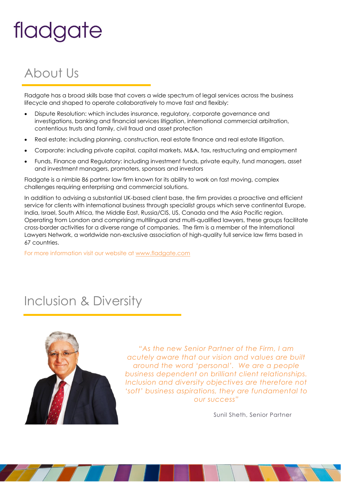## About Us

Fladgate has a broad skills base that covers a wide spectrum of legal services across the business lifecycle and shaped to operate collaboratively to move fast and flexibly:

- Dispute Resolution: which includes insurance, regulatory, corporate governance and investigations, banking and financial services litigation, international commercial arbitration, contentious trusts and family, civil fraud and asset protection
- Real estate: including planning, construction, real estate finance and real estate litigation.
- Corporate: including private capital, capital markets, M&A, tax, restructuring and employment
- Funds, Finance and Regulatory: including investment funds, private equity, fund managers, asset and investment managers, promoters, sponsors and investors

Fladgate is a nimble 86 partner law firm known for its ability to work on fast moving, complex challenges requiring enterprising and commercial solutions.

In addition to advising a substantial UK-based client base, the firm provides a proactive and efficient service for clients with international business through specialist groups which serve continental Europe, India, Israel, South Africa, the Middle East, Russia/CIS, US, Canada and the Asia Pacific region. Operating from London and comprising multilingual and multi-qualified lawyers, these groups facilitate cross-border activities for a diverse range of companies. The firm is a member of the International Lawyers Network, a worldwide non-exclusive association of high-quality full service law firms based in 67 countries.

For more information visit our website at [www.fladgate.com](http://www.fladgate.com/)

## Inclusion & Diversity



*"As the new Senior Partner of the Firm, I am acutely aware that our vision and values are built around the word 'personal'. We are a people business dependent on brilliant client relationships. Inclusion and diversity objectives are therefore not 'soft' business aspirations, they are fundamental to our success"*

Sunil Sheth, Senior Partner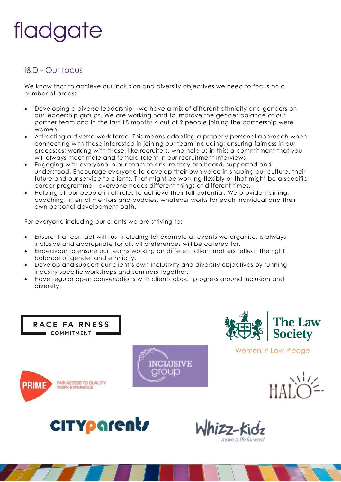### I&D - Our focus

We know that to achieve our inclusion and diversity objectives we need to focus on a number of areas:

- Developing a diverse leadership we have a mix of different ethnicity and genders on our leadership groups. We are working hard to improve the gender balance of our partner team and in the last 18 months 4 out of 9 people joining the partnership were women.
- Attracting a diverse work force. This means adopting a properly personal approach when connecting with those interested in joining our team including: ensuring fairness in our processes; working with those, like recruiters, who help us in this; a commitment that you will always meet male and female talent in our recruitment interviews;
- Engaging with everyone in our team to ensure they are heard, supported and understood. Encourage everyone to develop their own voice in shaping our culture, their future and our service to clients. That might be working flexibly or that might be a specific career programme - everyone needs different things at different times.
- Helping all our people in all roles to achieve their full potential. We provide training, coaching, internal mentors and buddies, whatever works for each individual and their own personal development path.

For everyone including our clients we are striving to:

- Ensure that contact with us, including for example at events we organise, is always inclusive and appropriate for all, all preferences will be catered for.
- Endeavour to ensure our teams working on different client matters reflect the right balance of gender and ethnicity.
- Develop and support our client's own inclusivity and diversity objectives by running industry specific workshops and seminars together.
- Have regular open conversations with clients about progress around inclusion and diversity.



RACE FAIRNESS COMMITMENT





Women in Law Pledge





lhizz-kidz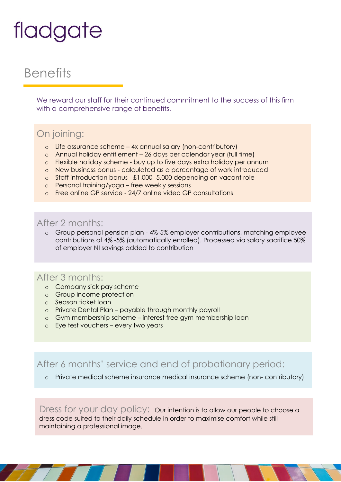## **Benefits**

We reward our staff for their continued commitment to the success of this firm with a comprehensive range of benefits.

### On joining:

- o Life assurance scheme 4x annual salary (non-contributory)
- o Annual holiday entitlement 26 days per calendar year (full time)
- o Flexible holiday scheme buy up to five days extra holiday per annum
- o New business bonus calculated as a percentage of work introduced
- o Staff introduction bonus £1,000- 5,000 depending on vacant role
- o Personal training/yoga free weekly sessions
- o Free online GP service 24/7 online video GP consultations

### After 2 months:

o Group personal pension plan - 4%-5% employer contributions, matching employee contributions of 4% -5% (automatically enrolled). Processed via salary sacrifice 50% of employer NI savings added to contribution

### After 3 months:

- o Company sick pay scheme
- o Group income protection
- o Season ticket loan
- o Private Dental Plan payable through monthly payroll
- o Gym membership scheme interest free gym membership loan
- o Eye test vouchers every two years

After 6 months' service and end of probationary period:

#### o Private medical scheme insurance medical insurance scheme (non- contributory)

Dress for your day policy: Our intention is to allow our people to choose a dress code suited to their daily schedule in order to maximise comfort while still maintaining a professional image.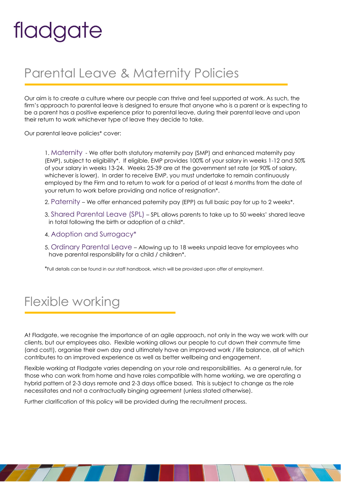## Parental Leave & Maternity Policies

Our aim is to create a culture where our people can thrive and feel supported at work. As such, the firm's approach to parental leave is designed to ensure that anyone who is a parent or is expecting to be a parent has a positive experience prior to parental leave, during their parental leave and upon their return to work whichever type of leave they decide to take.

Our parental leave policies\* cover:

1. Maternity - We offer both statutory maternity pay (SMP) and enhanced maternity pay (EMP), subject to eligibility\*. If eligible, EMP provides 100% of your salary in weeks 1-12 and 50% of your salary in weeks 13-24. Weeks 25-39 are at the government set rate (or 90% of salary, whichever is lower). In order to receive EMP, you must undertake to remain continuously employed by the Firm and to return to work for a period of at least 6 months from the date of your return to work before providing and notice of resignation\*.

- 2. Paternity We offer enhanced paternity pay (EPP) as full basic pay for up to 2 weeks\*.
- 3. Shared Parental Leave (SPL) SPL allows parents to take up to 50 weeks' shared leave in total following the birth or adoption of a child\*.
- 4. Adoption and Surrogacy\*
- 5. Ordinary Parental Leave Allowing up to 18 weeks unpaid leave for employees who have parental responsibility for a child / children\*.

\*Full details can be found in our staff handbook, which will be provided upon offer of employment.

## Flexible working

At Fladgate, we recognise the importance of an agile approach, not only in the way we work with our clients, but our employees also. Flexible working allows our people to cut down their commute time (and cost!), organise their own day and ultimately have an improved work / life balance, all of which contributes to an improved experience as well as better wellbeing and engagement.

Flexible working at Fladgate varies depending on your role and responsibilities. As a general rule, for those who can work from home and have roles compatible with home working, we are operating a hybrid pattern of 2-3 days remote and 2-3 days office based. This is subject to change as the role necessitates and not a contractually binging agreement (unless stated otherwise).

Further clarification of this policy will be provided during the recruitment process.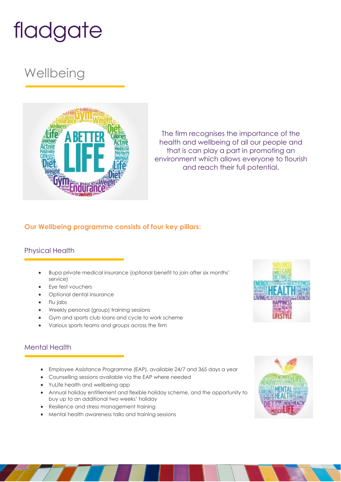## **Wellbeing**



The firm recognises the importance of the health and wellbeing of all our people and that is can play a part in promoting an environment which allows everyone to flourish and reach their full potential.

#### **Our Wellbeing programme consists of four key pillars:**

### Physical Health

- Bupa private medical insurance (optional benefit to join after six months' service)
- Eye test vouchers
- Optional dental insurance
- Flu jabs
- Weekly personal (group) training sessions
- Gym and sports club loans and cycle to work scheme
- Various sports teams and groups across the firm

#### Mental Health

- Employee Assistance Programme (EAP), available 24/7 and 365 days a year
- Counselling sessions available via the EAP where needed
- YuLife health and wellbeing app
- Annual holiday entitlement and flexible holiday scheme, and the opportunity to buy up to an additional two weeks' holiday
- Resilience and stress management training
- Mental health awareness talks and training sessions